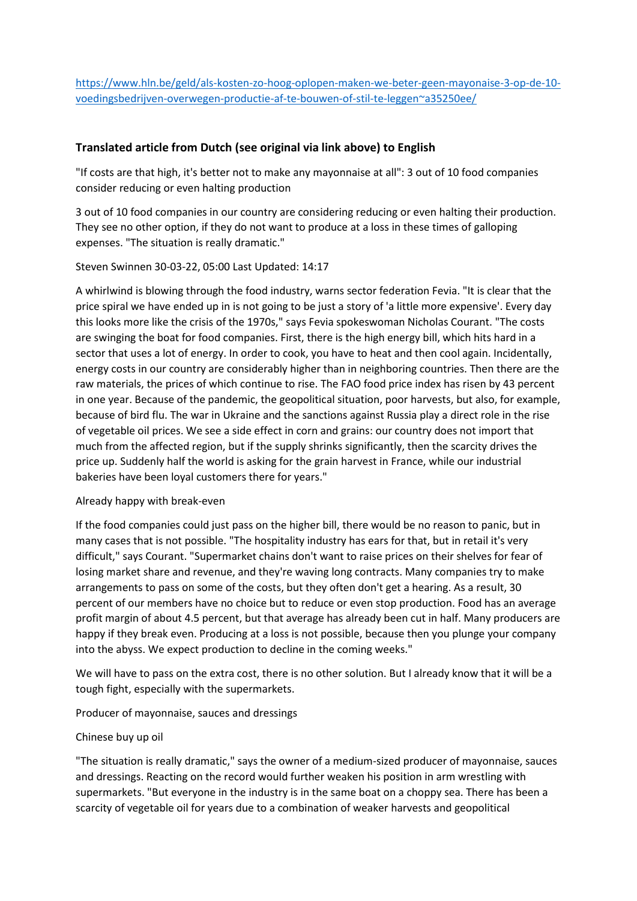[https://www.hln.be/geld/als-kosten-zo-hoog-oplopen-maken-we-beter-geen-mayonaise-3-op-de-10](https://www.hln.be/geld/als-kosten-zo-hoog-oplopen-maken-we-beter-geen-mayonaise-3-op-de-10-voedingsbedrijven-overwegen-productie-af-te-bouwen-of-stil-te-leggen~a35250ee/) [voedingsbedrijven-overwegen-productie-af-te-bouwen-of-stil-te-leggen~a35250ee/](https://www.hln.be/geld/als-kosten-zo-hoog-oplopen-maken-we-beter-geen-mayonaise-3-op-de-10-voedingsbedrijven-overwegen-productie-af-te-bouwen-of-stil-te-leggen~a35250ee/)

# **Translated article from Dutch (see original via link above) to English**

"If costs are that high, it's better not to make any mayonnaise at all": 3 out of 10 food companies consider reducing or even halting production

3 out of 10 food companies in our country are considering reducing or even halting their production. They see no other option, if they do not want to produce at a loss in these times of galloping expenses. "The situation is really dramatic."

Steven Swinnen 30-03-22, 05:00 Last Updated: 14:17

A whirlwind is blowing through the food industry, warns sector federation Fevia. "It is clear that the price spiral we have ended up in is not going to be just a story of 'a little more expensive'. Every day this looks more like the crisis of the 1970s," says Fevia spokeswoman Nicholas Courant. "The costs are swinging the boat for food companies. First, there is the high energy bill, which hits hard in a sector that uses a lot of energy. In order to cook, you have to heat and then cool again. Incidentally, energy costs in our country are considerably higher than in neighboring countries. Then there are the raw materials, the prices of which continue to rise. The FAO food price index has risen by 43 percent in one year. Because of the pandemic, the geopolitical situation, poor harvests, but also, for example, because of bird flu. The war in Ukraine and the sanctions against Russia play a direct role in the rise of vegetable oil prices. We see a side effect in corn and grains: our country does not import that much from the affected region, but if the supply shrinks significantly, then the scarcity drives the price up. Suddenly half the world is asking for the grain harvest in France, while our industrial bakeries have been loyal customers there for years."

## Already happy with break-even

If the food companies could just pass on the higher bill, there would be no reason to panic, but in many cases that is not possible. "The hospitality industry has ears for that, but in retail it's very difficult," says Courant. "Supermarket chains don't want to raise prices on their shelves for fear of losing market share and revenue, and they're waving long contracts. Many companies try to make arrangements to pass on some of the costs, but they often don't get a hearing. As a result, 30 percent of our members have no choice but to reduce or even stop production. Food has an average profit margin of about 4.5 percent, but that average has already been cut in half. Many producers are happy if they break even. Producing at a loss is not possible, because then you plunge your company into the abyss. We expect production to decline in the coming weeks."

We will have to pass on the extra cost, there is no other solution. But I already know that it will be a tough fight, especially with the supermarkets.

Producer of mayonnaise, sauces and dressings

### Chinese buy up oil

"The situation is really dramatic," says the owner of a medium-sized producer of mayonnaise, sauces and dressings. Reacting on the record would further weaken his position in arm wrestling with supermarkets. "But everyone in the industry is in the same boat on a choppy sea. There has been a scarcity of vegetable oil for years due to a combination of weaker harvests and geopolitical